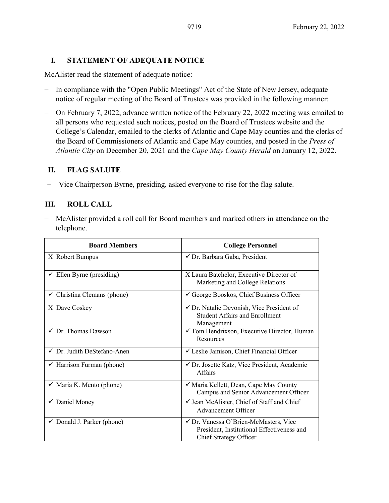### **I. STATEMENT OF ADEQUATE NOTICE**

McAlister read the statement of adequate notice:

- − In compliance with the "Open Public Meetings" Act of the State of New Jersey, adequate notice of regular meeting of the Board of Trustees was provided in the following manner:
- − On February 7, 2022, advance written notice of the February 22, 2022 meeting was emailed to all persons who requested such notices, posted on the Board of Trustees website and the College's Calendar, emailed to the clerks of Atlantic and Cape May counties and the clerks of the Board of Commissioners of Atlantic and Cape May counties, and posted in the *Press of Atlantic City* on December 20, 2021 and the *Cape May County Herald* on January 12, 2022.

### **II. FLAG SALUTE**

− Vice Chairperson Byrne, presiding, asked everyone to rise for the flag salute.

# **III. ROLL CALL**

− McAlister provided a roll call for Board members and marked others in attendance on the telephone.

| <b>Board Members</b>                   | <b>College Personnel</b>                                                                                             |  |
|----------------------------------------|----------------------------------------------------------------------------------------------------------------------|--|
| X Robert Bumpus                        | √ Dr. Barbara Gaba, President                                                                                        |  |
| $\checkmark$ Ellen Byrne (presiding)   | X Laura Batchelor, Executive Director of<br>Marketing and College Relations                                          |  |
| $\checkmark$ Christina Clemans (phone) | George Booskos, Chief Business Officer                                                                               |  |
| X Dave Coskey                          | $\checkmark$ Dr. Natalie Devonish, Vice President of<br><b>Student Affairs and Enrollment</b><br>Management          |  |
| $\checkmark$ Dr. Thomas Dawson         | $\checkmark$ Tom Hendrixson, Executive Director, Human<br>Resources                                                  |  |
| $\checkmark$ Dr. Judith DeStefano-Anen | └ Leslie Jamison, Chief Financial Officer                                                                            |  |
| $\checkmark$ Harrison Furman (phone)   | ✔ Dr. Josette Katz, Vice President, Academic<br><b>Affairs</b>                                                       |  |
| $\checkmark$ Maria K. Mento (phone)    | √ Maria Kellett, Dean, Cape May County<br>Campus and Senior Advancement Officer                                      |  |
| ✔ Daniel Money                         | √ Jean McAlister, Chief of Staff and Chief<br>Advancement Officer                                                    |  |
| $\checkmark$ Donald J. Parker (phone)  | √ Dr. Vanessa O'Brien-McMasters, Vice<br>President, Institutional Effectiveness and<br><b>Chief Strategy Officer</b> |  |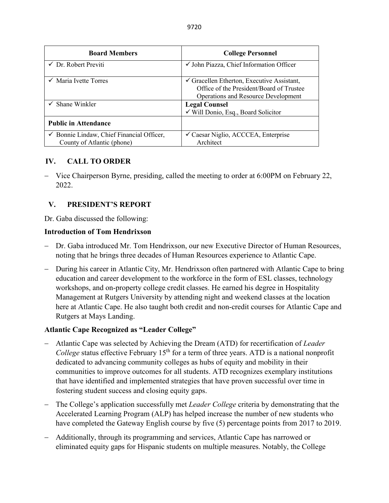| <b>Board Members</b>                                                    | <b>College Personnel</b>                                                                                                                 |  |
|-------------------------------------------------------------------------|------------------------------------------------------------------------------------------------------------------------------------------|--|
| $\checkmark$ Dr. Robert Previti                                         | $\checkmark$ John Piazza, Chief Information Officer                                                                                      |  |
| $\checkmark$ Maria Ivette Torres                                        | $\checkmark$ Gracellen Etherton, Executive Assistant,<br>Office of the President/Board of Trustee<br>Operations and Resource Development |  |
| $\checkmark$ Shane Winkler                                              | <b>Legal Counsel</b><br>$\checkmark$ Will Donio, Esq., Board Solicitor                                                                   |  |
| <b>Public in Attendance</b>                                             |                                                                                                                                          |  |
| √ Bonnie Lindaw, Chief Financial Officer,<br>County of Atlantic (phone) | <del></del> <del>Caesar</del> Niglio, ACCCEA, Enterprise<br>Architect                                                                    |  |

# **IV. CALL TO ORDER**

− Vice Chairperson Byrne, presiding, called the meeting to order at 6:00PM on February 22, 2022.

# **V. PRESIDENT'S REPORT**

Dr. Gaba discussed the following:

### **Introduction of Tom Hendrixson**

- − Dr. Gaba introduced Mr. Tom Hendrixson, our new Executive Director of Human Resources, noting that he brings three decades of Human Resources experience to Atlantic Cape.
- − During his career in Atlantic City, Mr. Hendrixson often partnered with Atlantic Cape to bring education and career development to the workforce in the form of ESL classes, technology workshops, and on-property college credit classes. He earned his degree in Hospitality Management at Rutgers University by attending night and weekend classes at the location here at Atlantic Cape. He also taught both credit and non-credit courses for Atlantic Cape and Rutgers at Mays Landing.

### **Atlantic Cape Recognized as "Leader College"**

- − Atlantic Cape was selected by Achieving the Dream (ATD) for recertification of *Leader College* status effective February 15<sup>th</sup> for a term of three years. ATD is a national nonprofit dedicated to advancing community colleges as hubs of equity and mobility in their communities to improve outcomes for all students. ATD recognizes exemplary institutions that have identified and implemented strategies that have proven successful over time in fostering student success and closing equity gaps.
- − The College's application successfully met *Leader College* criteria by demonstrating that the Accelerated Learning Program (ALP) has helped increase the number of new students who have completed the Gateway English course by five (5) percentage points from 2017 to 2019.
- − Additionally, through its programming and services, Atlantic Cape has narrowed or eliminated equity gaps for Hispanic students on multiple measures. Notably, the College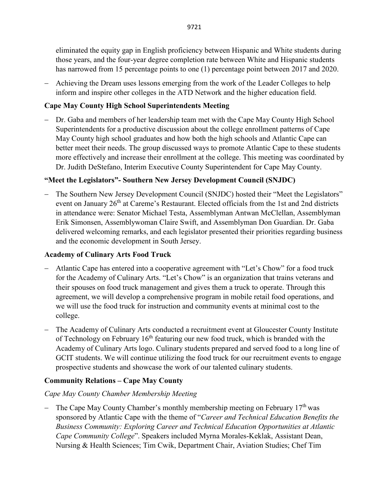9721

eliminated the equity gap in English proficiency between Hispanic and White students during those years, and the four-year degree completion rate between White and Hispanic students has narrowed from 15 percentage points to one (1) percentage point between 2017 and 2020.

− Achieving the Dream uses lessons emerging from the work of the Leader Colleges to help inform and inspire other colleges in the ATD Network and the higher education field.

# **Cape May County High School Superintendents Meeting**

− Dr. Gaba and members of her leadership team met with the Cape May County High School Superintendents for a productive discussion about the college enrollment patterns of Cape May County high school graduates and how both the high schools and Atlantic Cape can better meet their needs. The group discussed ways to promote Atlantic Cape to these students more effectively and increase their enrollment at the college. This meeting was coordinated by Dr. Judith DeStefano, Interim Executive County Superintendent for Cape May County.

# **"Meet the Legislators"- Southern New Jersey Development Council (SNJDC)**

− The Southern New Jersey Development Council (SNJDC) hosted their "Meet the Legislators" event on January 26<sup>th</sup> at Careme's Restaurant. Elected officials from the 1st and 2nd districts in attendance were: Senator Michael Testa, Assemblyman Antwan McClellan, Assemblyman Erik Simonsen, Assemblywoman Claire Swift, and Assemblyman Don Guardian. Dr. Gaba delivered welcoming remarks, and each legislator presented their priorities regarding business and the economic development in South Jersey.

### **Academy of Culinary Arts Food Truck**

- − Atlantic Cape has entered into a cooperative agreement with "Let's Chow" for a food truck for the Academy of Culinary Arts. "Let's Chow" is an organization that trains veterans and their spouses on food truck management and gives them a truck to operate. Through this agreement, we will develop a comprehensive program in mobile retail food operations, and we will use the food truck for instruction and community events at minimal cost to the college.
- − The Academy of Culinary Arts conducted a recruitment event at Gloucester County Institute of Technology on February  $16<sup>th</sup>$  featuring our new food truck, which is branded with the Academy of Culinary Arts logo. Culinary students prepared and served food to a long line of GCIT students. We will continue utilizing the food truck for our recruitment events to engage prospective students and showcase the work of our talented culinary students.

# **Community Relations – Cape May County**

### *Cape May County Chamber Membership Meeting*

The Cape May County Chamber's monthly membership meeting on February  $17<sup>th</sup>$  was sponsored by Atlantic Cape with the theme of "*Career and Technical Education Benefits the Business Community: Exploring Career and Technical Education Opportunities at Atlantic Cape Community College*". Speakers included Myrna Morales-Keklak, Assistant Dean, Nursing & Health Sciences; Tim Cwik, Department Chair, Aviation Studies; Chef Tim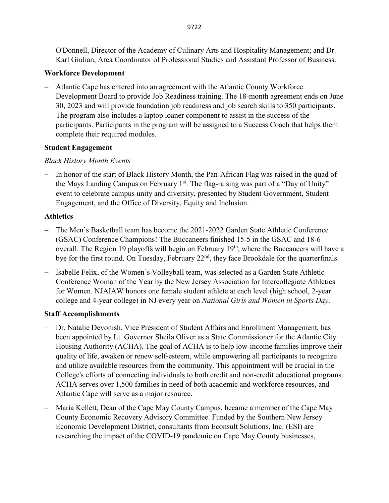O'Donnell, Director of the Academy of Culinary Arts and Hospitality Management; and Dr. Karl Giulian, Area Coordinator of Professional Studies and Assistant Professor of Business.

# **Workforce Development**

− Atlantic Cape has entered into an agreement with the Atlantic County Workforce Development Board to provide Job Readiness training. The 18-month agreement ends on June 30, 2023 and will provide foundation job readiness and job search skills to 350 participants. The program also includes a laptop loaner component to assist in the success of the participants. Participants in the program will be assigned to a Success Coach that helps them complete their required modules.

# **Student Engagement**

# *Black History Month Events*

In honor of the start of Black History Month, the Pan-African Flag was raised in the quad of the Mays Landing Campus on February  $1<sup>st</sup>$ . The flag-raising was part of a "Day of Unity" event to celebrate campus unity and diversity, presented by Student Government, Student Engagement, and the Office of Diversity, Equity and Inclusion.

# **Athletics**

- − The Men's Basketball team has become the 2021-2022 Garden State Athletic Conference (GSAC) Conference Champions! The Buccaneers finished 15-5 in the GSAC and 18-6 overall. The Region 19 playoffs will begin on February  $19<sup>th</sup>$ , where the Buccaneers will have a bye for the first round. On Tuesday, February 22<sup>nd</sup>, they face Brookdale for the quarterfinals.
- − Isabelle Felix, of the Women's Volleyball team, was selected as a Garden State Athletic Conference Woman of the Year by the New Jersey Association for Intercollegiate Athletics for Women. NJAIAW honors one female student athlete at each level (high school, 2-year college and 4-year college) in NJ every year on *National Girls and Women in Sports Day*.

# **Staff Accomplishments**

- − Dr. Natalie Devonish, Vice President of Student Affairs and Enrollment Management, has been appointed by Lt. Governor Sheila Oliver as a State Commissioner for the Atlantic City Housing Authority (ACHA). The goal of ACHA is to help low-income families improve their quality of life, awaken or renew self-esteem, while empowering all participants to recognize and utilize available resources from the community. This appointment will be crucial in the College's efforts of connecting individuals to both credit and non-credit educational programs. ACHA serves over 1,500 families in need of both academic and workforce resources, and Atlantic Cape will serve as a major resource.
- − Maria Kellett, Dean of the Cape May County Campus, became a member of the Cape May County Economic Recovery Advisory Committee. Funded by the Southern New Jersey Economic Development District, consultants from Econsult Solutions, Inc. (ESI) are researching the impact of the COVID-19 pandemic on Cape May County businesses,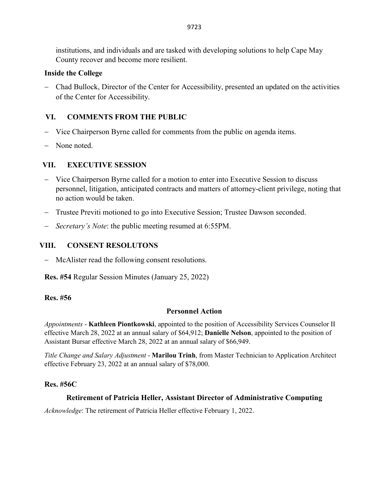institutions, and individuals and are tasked with developing solutions to help Cape May County recover and become more resilient.

### **Inside the College**

− Chad Bullock, Director of the Center for Accessibility, presented an updated on the activities of the Center for Accessibility.

### **VI. COMMENTS FROM THE PUBLIC**

- − Vice Chairperson Byrne called for comments from the public on agenda items.
- − None noted.

### **VII. EXECUTIVE SESSION**

- − Vice Chairperson Byrne called for a motion to enter into Executive Session to discuss personnel, litigation, anticipated contracts and matters of attorney-client privilege, noting that no action would be taken.
- − Trustee Previti motioned to go into Executive Session; Trustee Dawson seconded.
- − *Secretary's Note*: the public meeting resumed at 6:55PM.

### **VIII. CONSENT RESOLUTONS**

− McAlister read the following consent resolutions.

**Res. #54** Regular Session Minutes (January 25, 2022)

#### **Res. #56**

### **Personnel Action**

*Appointments* - **Kathleen Piontkowski**, appointed to the position of Accessibility Services Counselor II effective March 28, 2022 at an annual salary of \$64,912; **Danielle Nelson**, appointed to the position of Assistant Bursar effective March 28, 2022 at an annual salary of \$66,949.

*Title Change and Salary Adjustment* - **Marilou Trinh**, from Master Technician to Application Architect effective February 23, 2022 at an annual salary of \$78,000.

#### **Res. #56C**

### **Retirement of Patricia Heller, Assistant Director of Administrative Computing**

*Acknowledge*: The retirement of Patricia Heller effective February 1, 2022.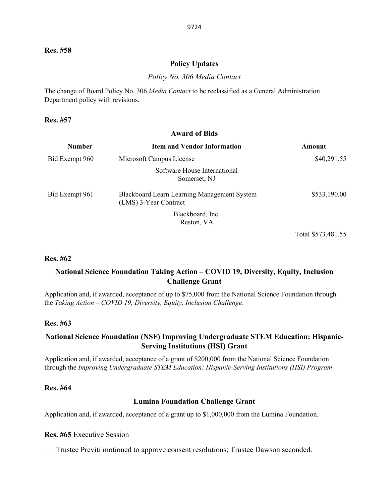#### **Policy Updates**

*Policy No. 306 Media Contact* 

The change of Board Policy No. 306 *Media Contact* to be reclassified as a General Administration Department policy with revisions.

#### **Res. #57**

# **Award of Bids**

| <b>Number</b>  | <b>Item and Vendor Information</b>                                   | Amount             |
|----------------|----------------------------------------------------------------------|--------------------|
| Bid Exempt 960 | Microsoft Campus License                                             | \$40,291.55        |
|                | Software House International<br>Somerset, NJ                         |                    |
| Bid Exempt 961 | Blackboard Learn Learning Management System<br>(LMS) 3-Year Contract | \$533,190.00       |
|                | Blackboard, Inc.<br>Reston, VA                                       |                    |
|                |                                                                      | Total \$573,481.55 |

#### **Res. #62**

### **National Science Foundation Taking Action – COVID 19, Diversity, Equity, Inclusion Challenge Grant**

Application and, if awarded, acceptance of up to \$75,000 from the National Science Foundation through the *Taking Action – COVID 19, Diversity, Equity, Inclusion Challenge*.

#### **Res. #63**

#### **National Science Foundation (NSF) Improving Undergraduate STEM Education: Hispanic-Serving Institutions (HSI) Grant**

Application and, if awarded, acceptance of a grant of \$200,000 from the National Science Foundation through the *Improving Undergraduate STEM Education: Hispanic-Serving Institutions (HSI) Program*.

#### **Res. #64**

#### **Lumina Foundation Challenge Grant**

Application and, if awarded, acceptance of a grant up to \$1,000,000 from the Lumina Foundation.

#### **Res. #65** Executive Session

− Trustee Previti motioned to approve consent resolutions; Trustee Dawson seconded.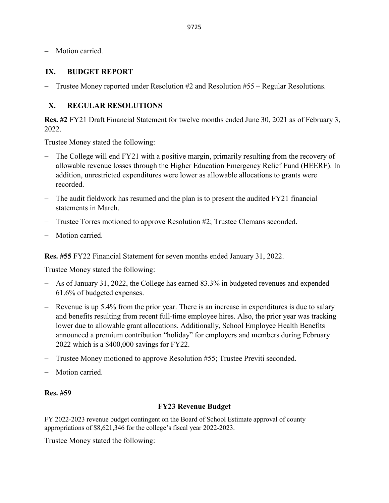− Motion carried.

### **IX. BUDGET REPORT**

Trustee Money reported under Resolution  $#2$  and Resolution  $#55 -$  Regular Resolutions.

### **X. REGULAR RESOLUTIONS**

**Res. #2** FY21 Draft Financial Statement for twelve months ended June 30, 2021 as of February 3, 2022.

Trustee Money stated the following:

- − The College will end FY21 with a positive margin, primarily resulting from the recovery of allowable revenue losses through the Higher Education Emergency Relief Fund (HEERF). In addition, unrestricted expenditures were lower as allowable allocations to grants were recorded.
- − The audit fieldwork has resumed and the plan is to present the audited FY21 financial statements in March.
- Trustee Torres motioned to approve Resolution #2; Trustee Clemans seconded.
- − Motion carried.

**Res. #55** FY22 Financial Statement for seven months ended January 31, 2022.

Trustee Money stated the following:

- − As of January 31, 2022, the College has earned 83.3% in budgeted revenues and expended 61.6% of budgeted expenses.
- − Revenue is up 5.4% from the prior year. There is an increase in expenditures is due to salary and benefits resulting from recent full-time employee hires. Also, the prior year was tracking lower due to allowable grant allocations. Additionally, School Employee Health Benefits announced a premium contribution "holiday" for employers and members during February 2022 which is a \$400,000 savings for FY22.
- − Trustee Money motioned to approve Resolution #55; Trustee Previti seconded.
- Motion carried.

#### **Res. #59**

#### **FY23 Revenue Budget**

FY 2022-2023 revenue budget contingent on the Board of School Estimate approval of county appropriations of \$8,621,346 for the college's fiscal year 2022-2023.

Trustee Money stated the following: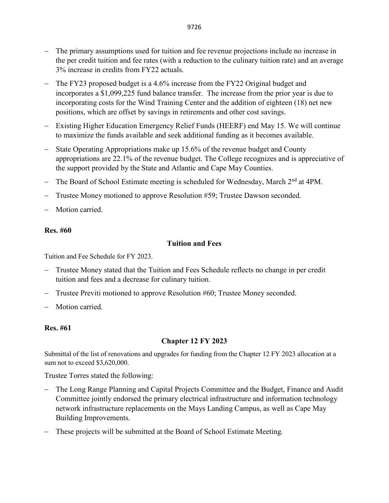- − The primary assumptions used for tuition and fee revenue projections include no increase in the per credit tuition and fee rates (with a reduction to the culinary tuition rate) and an average 3% increase in credits from FY22 actuals.
- − The FY23 proposed budget is a 4.6% increase from the FY22 Original budget and incorporates a \$1,099,225 fund balance transfer. The increase from the prior year is due to incorporating costs for the Wind Training Center and the addition of eighteen (18) net new positions, which are offset by savings in retirements and other cost savings.
- − Existing Higher Education Emergency Relief Funds (HEERF) end May 15. We will continue to maximize the funds available and seek additional funding as it becomes available.
- State Operating Appropriations make up 15.6% of the revenue budget and County appropriations are 22.1% of the revenue budget. The College recognizes and is appreciative of the support provided by the State and Atlantic and Cape May Counties.
- The Board of School Estimate meeting is scheduled for Wednesday, March 2<sup>nd</sup> at 4PM.
- − Trustee Money motioned to approve Resolution #59; Trustee Dawson seconded.
- Motion carried.

### **Res. #60**

### **Tuition and Fees**

Tuition and Fee Schedule for FY 2023.

- − Trustee Money stated that the Tuition and Fees Schedule reflects no change in per credit tuition and fees and a decrease for culinary tuition.
- − Trustee Previti motioned to approve Resolution #60; Trustee Money seconded.
- Motion carried.

### **Res. #61**

### **Chapter 12 FY 2023**

Submittal of the list of renovations and upgrades for funding from the Chapter 12 FY 2023 allocation at a sum not to exceed \$3,620,000.

Trustee Torres stated the following:

- − The Long Range Planning and Capital Projects Committee and the Budget, Finance and Audit Committee jointly endorsed the primary electrical infrastructure and information technology network infrastructure replacements on the Mays Landing Campus, as well as Cape May Building Improvements.
- − These projects will be submitted at the Board of School Estimate Meeting.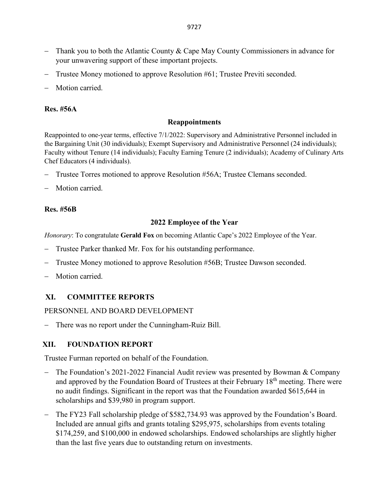- − Thank you to both the Atlantic County & Cape May County Commissioners in advance for your unwavering support of these important projects.
- − Trustee Money motioned to approve Resolution #61; Trustee Previti seconded.
- Motion carried.

#### **Res. #56A**

#### **Reappointments**

Reappointed to one-year terms, effective 7/1/2022: Supervisory and Administrative Personnel included in the Bargaining Unit (30 individuals); Exempt Supervisory and Administrative Personnel (24 individuals); Faculty without Tenure (14 individuals); Faculty Earning Tenure (2 individuals); Academy of Culinary Arts Chef Educators (4 individuals).

- − Trustee Torres motioned to approve Resolution #56A; Trustee Clemans seconded.
- Motion carried.

#### **Res. #56B**

#### **2022 Employee of the Year**

*Honorary*: To congratulate **Gerald Fox** on becoming Atlantic Cape's 2022 Employee of the Year.

- Trustee Parker thanked Mr. Fox for his outstanding performance.
- − Trustee Money motioned to approve Resolution #56B; Trustee Dawson seconded.
- Motion carried.

### **XI. COMMITTEE REPORTS**

#### PERSONNEL AND BOARD DEVELOPMENT

− There was no report under the Cunningham-Ruiz Bill.

#### **XII. FOUNDATION REPORT**

Trustee Furman reported on behalf of the Foundation.

- − The Foundation's 2021-2022 Financial Audit review was presented by Bowman & Company and approved by the Foundation Board of Trustees at their February 18<sup>th</sup> meeting. There were no audit findings. Significant in the report was that the Foundation awarded \$615,644 in scholarships and \$39,980 in program support.
- − The FY23 Fall scholarship pledge of \$582,734.93 was approved by the Foundation's Board. Included are annual gifts and grants totaling \$295,975, scholarships from events totaling \$174,259, and \$100,000 in endowed scholarships. Endowed scholarships are slightly higher than the last five years due to outstanding return on investments.